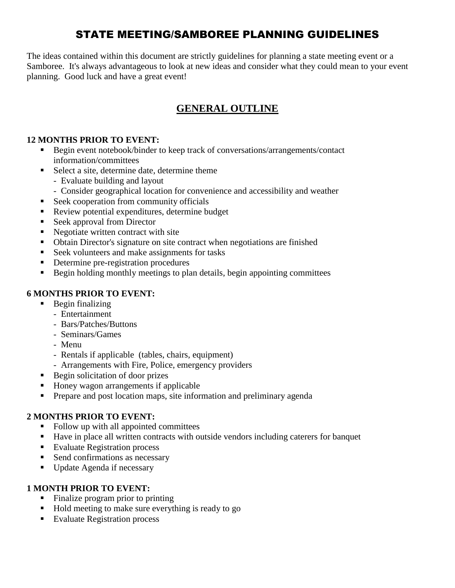# STATE MEETING/SAMBOREE PLANNING GUIDELINES

The ideas contained within this document are strictly guidelines for planning a state meeting event or a Samboree. It's always advantageous to look at new ideas and consider what they could mean to your event planning. Good luck and have a great event!

# **GENERAL OUTLINE**

#### **12 MONTHS PRIOR TO EVENT:**

- **Begin event notebook/binder to keep track of conversations/arrangements/contact** information/committees
- Select a site, determine date, determine theme
	- Evaluate building and layout
	- Consider geographical location for convenience and accessibility and weather
- Seek cooperation from community officials
- Review potential expenditures, determine budget
- Seek approval from Director
- Negotiate written contract with site
- Obtain Director's signature on site contract when negotiations are finished
- Seek volunteers and make assignments for tasks
- Determine pre-registration procedures
- Begin holding monthly meetings to plan details, begin appointing committees

## **6 MONTHS PRIOR TO EVENT:**

- $\blacksquare$  Begin finalizing
	- Entertainment
	- Bars/Patches/Buttons
	- Seminars/Games
	- Menu
	- Rentals if applicable (tables, chairs, equipment)
	- Arrangements with Fire, Police, emergency providers
- Begin solicitation of door prizes
- Honey wagon arrangements if applicable
- Prepare and post location maps, site information and preliminary agenda

## **2 MONTHS PRIOR TO EVENT:**

- Follow up with all appointed committees
- Have in place all written contracts with outside vendors including caterers for banquet
- Evaluate Registration process
- Send confirmations as necessary
- Update Agenda if necessary

## **1 MONTH PRIOR TO EVENT:**

- Finalize program prior to printing
- Hold meeting to make sure everything is ready to go
- Evaluate Registration process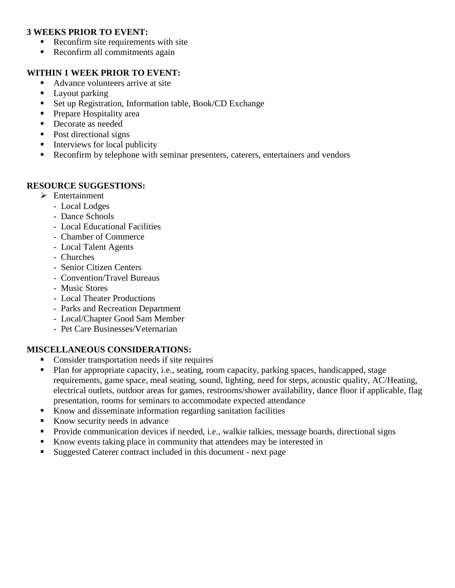#### **3 WEEKS PRIOR TO EVENT:**

- Reconfirm site requirements with site
- Reconfirm all commitments again

#### **WITHIN 1 WEEK PRIOR TO EVENT:**

- Advance volunteers arrive at site
- Layout parking
- Set up Registration, Information table, Book/CD Exchange
- Prepare Hospitality area
- Decorate as needed
- Post directional signs
- $\blacksquare$  Interviews for local publicity
- Reconfirm by telephone with seminar presenters, caterers, entertainers and vendors

#### **RESOURCE SUGGESTIONS:**

- > Entertainment
	- Local Lodges
	- Dance Schools
	- Local Educational Facilities
	- Chamber of Commerce
	- Local Talent Agents
	- Churches
	- Senior Citizen Centers
	- Convention/Travel Bureaus
	- Music Stores
	- Local Theater Productions
	- Parks and Recreation Department
	- Local/Chapter Good Sam Member
	- Pet Care Businesses/Veternarian

## **MISCELLANEOUS CONSIDERATIONS:**

- Consider transportation needs if site requires
- Plan for appropriate capacity, i.e., seating, room capacity, parking spaces, handicapped, stage requirements, game space, meal seating, sound, lighting, need for steps, acoustic quality, AC/Heating, electrical outlets, outdoor areas for games, restrooms/shower availability, dance floor if applicable, flag presentation, rooms for seminars to accommodate expected attendance
- Know and disseminate information regarding sanitation facilities
- Know security needs in advance
- Provide communication devices if needed, i.e., walkie talkies, message boards, directional signs
- Know events taking place in community that attendees may be interested in
- Suggested Caterer contract included in this document next page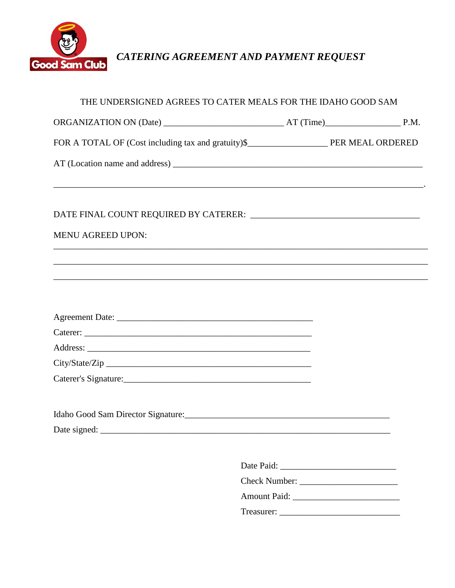

CATERING AGREEMENT AND PAYMENT REQUEST

| THE UNDERSIGNED AGREES TO CATER MEALS FOR THE IDAHO GOOD SAM |  |
|--------------------------------------------------------------|--|
|                                                              |  |
|                                                              |  |
|                                                              |  |
|                                                              |  |
| <b>MENU AGREED UPON:</b>                                     |  |
|                                                              |  |
|                                                              |  |
|                                                              |  |
|                                                              |  |
|                                                              |  |
|                                                              |  |
|                                                              |  |
|                                                              |  |
|                                                              |  |
|                                                              |  |
|                                                              |  |
|                                                              |  |
|                                                              |  |
|                                                              |  |
|                                                              |  |